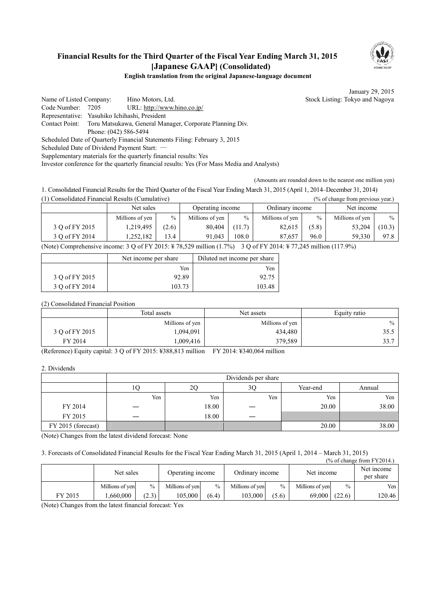### **Financial Results for the Third Quarter of the Fiscal Year Ending March 31, 2015 [Japanese GAAP] (Consolidated)**



#### **English translation from the original Japanese-language document**

January 29, 2015

Name of Listed Company: Hino Motors, Ltd. Stock Listing: Tokyo and Nagoya Code Number: 7205 URL: http://www.hino.co.jp/ Representative: Yasuhiko Ichihashi, President Contact Point: Toru Matsukawa, General Manager, Corporate Planning Div.

 Phone: (042) 586-5494 Scheduled Date of Quarterly Financial Statements Filing: February 3, 2015

Scheduled Date of Dividend Payment Start: ―

Supplementary materials for the quarterly financial results: Yes

Investor conference for the quarterly financial results: Yes (For Mass Media and Analysts)

(Amounts are rounded down to the nearest one million yen)

1. Consolidated Financial Results for the Third Quarter of the Fiscal Year Ending March 31, 2015 (April 1, 2014–December 31, 2014)

| (1) Consolidated Financial Results (Cumulative)<br>$\frac{9}{6}$ of change from previous year.) |                 |               |                  |               |                 |               |                 |        |
|-------------------------------------------------------------------------------------------------|-----------------|---------------|------------------|---------------|-----------------|---------------|-----------------|--------|
|                                                                                                 | Net sales       |               | Operating income |               | Ordinary income |               | Net income      |        |
|                                                                                                 | Millions of yen | $\frac{0}{0}$ | Millions of yen  | $\frac{0}{0}$ | Millions of yen | $\frac{0}{0}$ | Millions of yen | $\%$   |
| 3 Q of FY 2015                                                                                  | 1,219,495       | (2.6)         | 80.404           | (11.7)        | 82,615          | (5.8)         | 53,204          | (10.3) |
| 3 O of FY 2014                                                                                  | .252.182        | 13.4          | 91.043           | 108.0         | 87.657          | 96.0          | 59.330          | 97.8   |

(Note) Comprehensive income: 3 Q of FY 2015: ¥ 78,529 million (1.7%) 3 Q of FY 2014: ¥ 77,245 million (117.9%)

|                | Net income per share | Diluted net income per share |
|----------------|----------------------|------------------------------|
|                | Yen                  | Yen                          |
| 3 O of FY 2015 | 92.89                | 92.75                        |
| 3 O of FY 2014 | 103 73               | 103.48                       |

(2) Consolidated Financial Position

|                | Total assets    | Net assets      |      |
|----------------|-----------------|-----------------|------|
|                | Millions of yen | Millions of yen | $\%$ |
| 3 Q of FY 2015 | 1,094,091       | 434,480         | 35.5 |
| FY 2014        | 009,416         | 379,589         | 33.7 |

(Reference) Equity capital: 3 Q of FY 2015: ¥388,813 million FY 2014: ¥340,064 million

2. Dividends

|                    | Dividends per share |       |     |          |        |
|--------------------|---------------------|-------|-----|----------|--------|
|                    | 10                  | 2C    | 3Ç  | Year-end | Annual |
|                    | Yen                 | Yen   | Yen | Yen      | Yen    |
| FY 2014            |                     | 18.00 |     | 20.00    | 38.00  |
| FY 2015            |                     | 18.00 |     |          |        |
| FY 2015 (forecast) |                     |       |     | 20.00    | 38.00  |

(Note) Changes from the latest dividend forecast: None

3. Forecasts of Consolidated Financial Results for the Fiscal Year Ending March 31, 2015 (April 1, 2014 – March 31, 2015)  $\overline{X}$  of change from Fy

| (% of change from FY 2014.) |                 |               |                  |               |                 |               |                 |        |                         |
|-----------------------------|-----------------|---------------|------------------|---------------|-----------------|---------------|-----------------|--------|-------------------------|
|                             | Net sales       |               | Operating income |               | Ordinary income |               | Net income      |        | Net income<br>per share |
|                             | Millions of yen | $\frac{0}{0}$ | Millions of ven  | $\frac{0}{0}$ | Millions of yen | $\frac{0}{0}$ | Millions of yen | $\%$   | Yen                     |
| FY 2015                     | .660.000        | (2.3)         | 105.000          | (6.4)         | 103.000         | (5.6)         | 69.000          | (22.6) | 120.46                  |

(Note) Changes from the latest financial forecast: Yes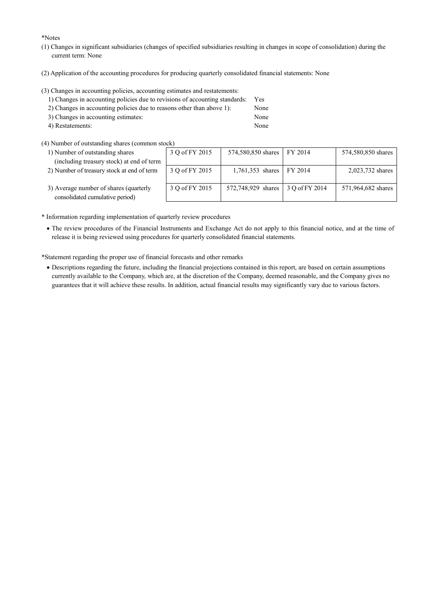\*Notes

- (1) Changes in significant subsidiaries (changes of specified subsidiaries resulting in changes in scope of consolidation) during the current term: None
- (2) Application of the accounting procedures for producing quarterly consolidated financial statements: None

(3) Changes in accounting policies, accounting estimates and restatements:

| 1) Changes in accounting policies due to revisions of accounting standards: | Yes. |
|-----------------------------------------------------------------------------|------|
| 2) Changes in accounting policies due to reasons other than above 1):       | None |
| 3) Changes in accounting estimates:                                         | None |

- 4) Restatements: None
- (4) Number of outstanding shares (common stock)
	- 1) Number of outstanding shares (including treasury stock) at end of term
	- 2) Number of treasury stock at end of term
	- 3) Average number of shares (quarterly consolidated cumulative period)

| stock )        |                    |                |                    |
|----------------|--------------------|----------------|--------------------|
| 3 O of FY 2015 | 574,580,850 shares | FY 2014        | 574,580,850 shares |
|                |                    |                |                    |
| 3 Q of FY 2015 | 1,761,353 shares   | FY 2014        | 2,023,732 shares   |
| 3 O of FY 2015 | 572,748,929 shares | 3 Q of FY 2014 | 571,964,682 shares |

- \* Information regarding implementation of quarterly review procedures
	- · The review procedures of the Financial Instruments and Exchange Act do not apply to this financial notice, and at the time of release it is being reviewed using procedures for quarterly consolidated financial statements.

\*Statement regarding the proper use of financial forecasts and other remarks

· Descriptions regarding the future, including the financial projections contained in this report, are based on certain assumptions currently available to the Company, which are, at the discretion of the Company, deemed reasonable, and the Company gives no guarantees that it will achieve these results. In addition, actual financial results may significantly vary due to various factors.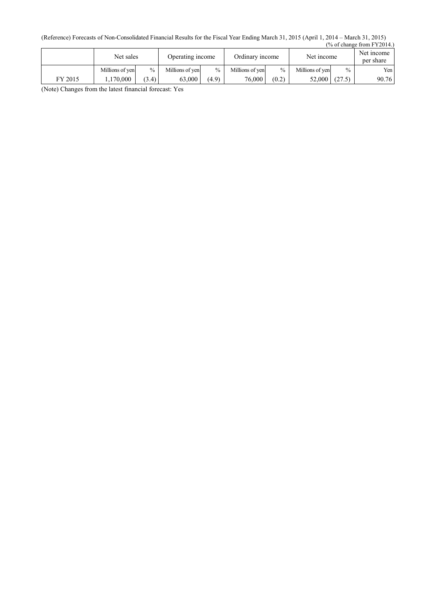(Reference) Forecasts of Non-Consolidated Financial Results for the Fiscal Year Ending March 31, 2015 (April 1, 2014 – March 31, 2015) (% of change from FY2014.)

|         | Net sales       |               | Operating income |               | Ordinary income |       | Net income      |        | Net income<br>per share |
|---------|-----------------|---------------|------------------|---------------|-----------------|-------|-----------------|--------|-------------------------|
|         | Millions of yen | $\frac{0}{0}$ | Millions of yen  | $\frac{0}{0}$ | Millions of ven | $\%$  | Millions of ven | $\%$   | Yen                     |
| FY 2015 | 1.170.000       | (3.4)         | 63.000           | (4.9)         | 76,000          | (0.2) | 52.000          | (27.5) | 90.76                   |

(Note) Changes from the latest financial forecast: Yes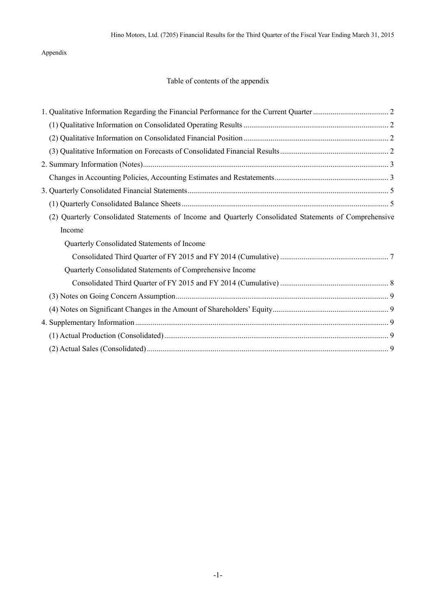Appendix

# Table of contents of the appendix

| (2) Quarterly Consolidated Statements of Income and Quarterly Consolidated Statements of Comprehensive |  |
|--------------------------------------------------------------------------------------------------------|--|
| Income                                                                                                 |  |
| Quarterly Consolidated Statements of Income                                                            |  |
|                                                                                                        |  |
| Quarterly Consolidated Statements of Comprehensive Income                                              |  |
|                                                                                                        |  |
|                                                                                                        |  |
|                                                                                                        |  |
|                                                                                                        |  |
|                                                                                                        |  |
|                                                                                                        |  |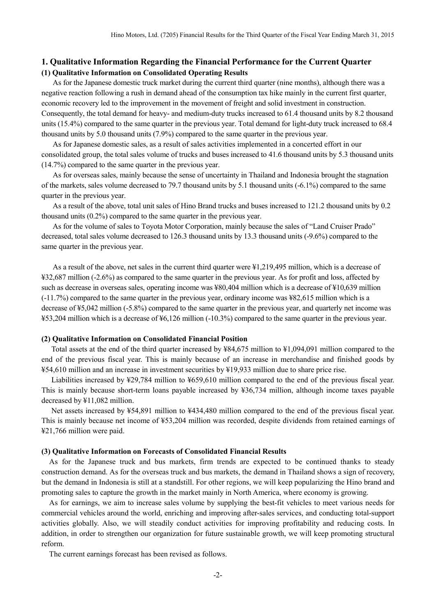### **1. Qualitative Information Regarding the Financial Performance for the Current Quarter (1) Qualitative Information on Consolidated Operating Results**

As for the Japanese domestic truck market during the current third quarter (nine months), although there was a negative reaction following a rush in demand ahead of the consumption tax hike mainly in the current first quarter, economic recovery led to the improvement in the movement of freight and solid investment in construction. Consequently, the total demand for heavy- and medium-duty trucks increased to 61.4 thousand units by 8.2 thousand units (15.4%) compared to the same quarter in the previous year. Total demand for light-duty truck increased to 68.4 thousand units by 5.0 thousand units (7.9%) compared to the same quarter in the previous year.

As for Japanese domestic sales, as a result of sales activities implemented in a concerted effort in our consolidated group, the total sales volume of trucks and buses increased to 41.6 thousand units by 5.3 thousand units (14.7%) compared to the same quarter in the previous year.

As for overseas sales, mainly because the sense of uncertainty in Thailand and Indonesia brought the stagnation of the markets, sales volume decreased to 79.7 thousand units by 5.1 thousand units (-6.1%) compared to the same quarter in the previous year.

As a result of the above, total unit sales of Hino Brand trucks and buses increased to 121.2 thousand units by 0.2 thousand units (0.2%) compared to the same quarter in the previous year.

As for the volume of sales to Toyota Motor Corporation, mainly because the sales of "Land Cruiser Prado" decreased, total sales volume decreased to 126.3 thousand units by 13.3 thousand units (-9.6%) compared to the same quarter in the previous year.

As a result of the above, net sales in the current third quarter were ¥1,219,495 million, which is a decrease of ¥32,687 million (-2.6%) as compared to the same quarter in the previous year. As for profit and loss, affected by such as decrease in overseas sales, operating income was ¥80,404 million which is a decrease of ¥10,639 million (-11.7%) compared to the same quarter in the previous year, ordinary income was ¥82,615 million which is a decrease of ¥5,042 million (-5.8%) compared to the same quarter in the previous year, and quarterly net income was ¥53,204 million which is a decrease of ¥6,126 million (-10.3%) compared to the same quarter in the previous year.

#### **(2) Qualitative Information on Consolidated Financial Position**

Total assets at the end of the third quarter increased by ¥84,675 million to ¥1,094,091 million compared to the end of the previous fiscal year. This is mainly because of an increase in merchandise and finished goods by ¥54,610 million and an increase in investment securities by ¥19,933 million due to share price rise.

Liabilities increased by ¥29,784 million to ¥659,610 million compared to the end of the previous fiscal year. This is mainly because short-term loans payable increased by ¥36,734 million, although income taxes payable decreased by ¥11,082 million.

Net assets increased by ¥54,891 million to ¥434,480 million compared to the end of the previous fiscal year. This is mainly because net income of ¥53,204 million was recorded, despite dividends from retained earnings of ¥21,766 million were paid.

#### **(3) Qualitative Information on Forecasts of Consolidated Financial Results**

As for the Japanese truck and bus markets, firm trends are expected to be continued thanks to steady construction demand. As for the overseas truck and bus markets, the demand in Thailand shows a sign of recovery, but the demand in Indonesia is still at a standstill. For other regions, we will keep popularizing the Hino brand and promoting sales to capture the growth in the market mainly in North America, where economy is growing.

As for earnings, we aim to increase sales volume by supplying the best-fit vehicles to meet various needs for commercial vehicles around the world, enriching and improving after-sales services, and conducting total-support activities globally. Also, we will steadily conduct activities for improving profitability and reducing costs. In addition, in order to strengthen our organization for future sustainable growth, we will keep promoting structural reform.

The current earnings forecast has been revised as follows.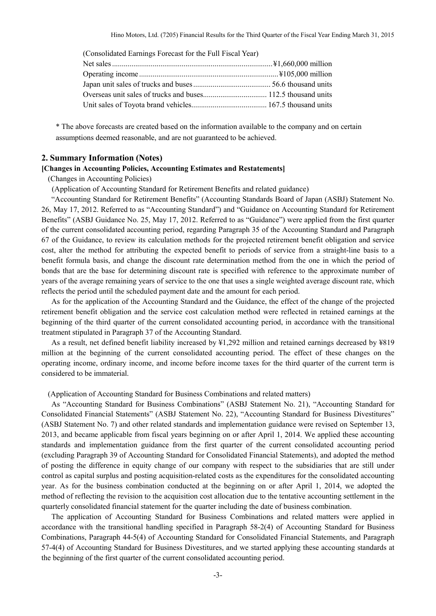| (Consolidated Earnings Forecast for the Full Fiscal Year) |  |
|-----------------------------------------------------------|--|
|                                                           |  |
|                                                           |  |
|                                                           |  |
|                                                           |  |
|                                                           |  |

\* The above forecasts are created based on the information available to the company and on certain assumptions deemed reasonable, and are not guaranteed to be achieved.

#### **2. Summary Information (Notes)**

#### **[Changes in Accounting Policies, Accounting Estimates and Restatements]**

(Changes in Accounting Policies)

(Application of Accounting Standard for Retirement Benefits and related guidance)

"Accounting Standard for Retirement Benefits" (Accounting Standards Board of Japan (ASBJ) Statement No. 26, May 17, 2012. Referred to as "Accounting Standard") and "Guidance on Accounting Standard for Retirement Benefits" (ASBJ Guidance No. 25, May 17, 2012. Referred to as "Guidance") were applied from the first quarter of the current consolidated accounting period, regarding Paragraph 35 of the Accounting Standard and Paragraph 67 of the Guidance, to review its calculation methods for the projected retirement benefit obligation and service cost, alter the method for attributing the expected benefit to periods of service from a straight-line basis to a benefit formula basis, and change the discount rate determination method from the one in which the period of bonds that are the base for determining discount rate is specified with reference to the approximate number of years of the average remaining years of service to the one that uses a single weighted average discount rate, which reflects the period until the scheduled payment date and the amount for each period.

As for the application of the Accounting Standard and the Guidance, the effect of the change of the projected retirement benefit obligation and the service cost calculation method were reflected in retained earnings at the beginning of the third quarter of the current consolidated accounting period, in accordance with the transitional treatment stipulated in Paragraph 37 of the Accounting Standard.

As a result, net defined benefit liability increased by ¥1,292 million and retained earnings decreased by ¥819 million at the beginning of the current consolidated accounting period. The effect of these changes on the operating income, ordinary income, and income before income taxes for the third quarter of the current term is considered to be immaterial.

(Application of Accounting Standard for Business Combinations and related matters)

As "Accounting Standard for Business Combinations" (ASBJ Statement No. 21), "Accounting Standard for Consolidated Financial Statements" (ASBJ Statement No. 22), "Accounting Standard for Business Divestitures" (ASBJ Statement No. 7) and other related standards and implementation guidance were revised on September 13, 2013, and became applicable from fiscal years beginning on or after April 1, 2014. We applied these accounting standards and implementation guidance from the first quarter of the current consolidated accounting period (excluding Paragraph 39 of Accounting Standard for Consolidated Financial Statements), and adopted the method of posting the difference in equity change of our company with respect to the subsidiaries that are still under control as capital surplus and posting acquisition-related costs as the expenditures for the consolidated accounting year. As for the business combination conducted at the beginning on or after April 1, 2014, we adopted the method of reflecting the revision to the acquisition cost allocation due to the tentative accounting settlement in the quarterly consolidated financial statement for the quarter including the date of business combination.

The application of Accounting Standard for Business Combinations and related matters were applied in accordance with the transitional handling specified in Paragraph 58-2(4) of Accounting Standard for Business Combinations, Paragraph 44-5(4) of Accounting Standard for Consolidated Financial Statements, and Paragraph 57-4(4) of Accounting Standard for Business Divestitures, and we started applying these accounting standards at the beginning of the first quarter of the current consolidated accounting period.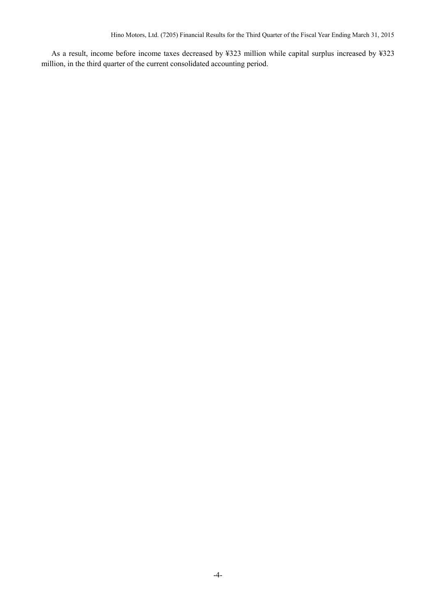As a result, income before income taxes decreased by ¥323 million while capital surplus increased by ¥323 million, in the third quarter of the current consolidated accounting period.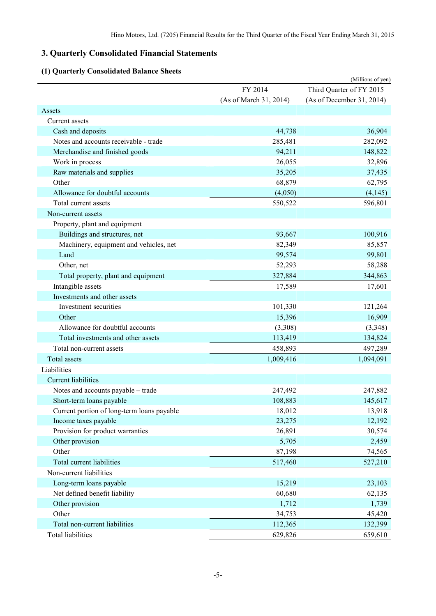# **3. Quarterly Consolidated Financial Statements**

# **(1) Quarterly Consolidated Balance Sheets**

| (1) Quarterly Consolidated Dalance Sheets  |                        | (Millions of yen)         |
|--------------------------------------------|------------------------|---------------------------|
|                                            | FY 2014                | Third Quarter of FY 2015  |
|                                            | (As of March 31, 2014) | (As of December 31, 2014) |
| Assets                                     |                        |                           |
| Current assets                             |                        |                           |
| Cash and deposits                          | 44,738                 | 36,904                    |
| Notes and accounts receivable - trade      | 285,481                | 282,092                   |
| Merchandise and finished goods             | 94,211                 | 148,822                   |
| Work in process                            | 26,055                 | 32,896                    |
| Raw materials and supplies                 | 35,205                 | 37,435                    |
| Other                                      | 68,879                 | 62,795                    |
| Allowance for doubtful accounts            | (4,050)                | (4,145)                   |
| Total current assets                       | 550,522                | 596,801                   |
| Non-current assets                         |                        |                           |
| Property, plant and equipment              |                        |                           |
| Buildings and structures, net              | 93,667                 | 100,916                   |
| Machinery, equipment and vehicles, net     | 82,349                 | 85,857                    |
| Land                                       | 99,574                 | 99,801                    |
| Other, net                                 | 52,293                 | 58,288                    |
| Total property, plant and equipment        | 327,884                | 344,863                   |
| Intangible assets                          | 17,589                 | 17,601                    |
| Investments and other assets               |                        |                           |
| Investment securities                      | 101,330                | 121,264                   |
| Other                                      | 15,396                 | 16,909                    |
| Allowance for doubtful accounts            | (3,308)                | (3,348)                   |
| Total investments and other assets         | 113,419                | 134,824                   |
| Total non-current assets                   | 458,893                | 497,289                   |
| Total assets                               | 1,009,416              | 1,094,091                 |
| Liabilities                                |                        |                           |
| <b>Current liabilities</b>                 |                        |                           |
| Notes and accounts payable - trade         | 247,492                | 247,882                   |
| Short-term loans payable                   | 108,883                | 145,617                   |
| Current portion of long-term loans payable | 18,012                 | 13,918                    |
| Income taxes payable                       | 23,275                 | 12,192                    |
| Provision for product warranties           | 26,891                 | 30,574                    |
| Other provision                            | 5,705                  | 2,459                     |
| Other                                      | 87,198                 | 74,565                    |
| Total current liabilities                  | 517,460                | 527,210                   |
| Non-current liabilities                    |                        |                           |
| Long-term loans payable                    | 15,219                 | 23,103                    |
| Net defined benefit liability              | 60,680                 | 62,135                    |
| Other provision                            | 1,712                  | 1,739                     |
| Other                                      | 34,753                 | 45,420                    |
| Total non-current liabilities              | 112,365                | 132,399                   |
| <b>Total liabilities</b>                   | 629,826                | 659,610                   |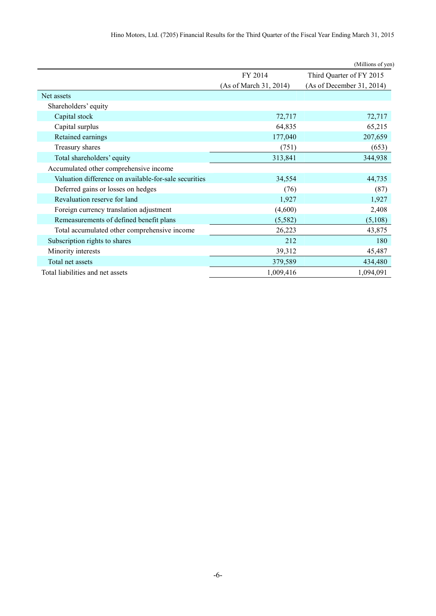|                                                       |                        | (Millions of yen)         |
|-------------------------------------------------------|------------------------|---------------------------|
|                                                       | FY 2014                | Third Quarter of FY 2015  |
|                                                       | (As of March 31, 2014) | (As of December 31, 2014) |
| Net assets                                            |                        |                           |
| Shareholders' equity                                  |                        |                           |
| Capital stock                                         | 72,717                 | 72,717                    |
| Capital surplus                                       | 64,835                 | 65,215                    |
| Retained earnings                                     | 177,040                | 207,659                   |
| Treasury shares                                       | (751)                  | (653)                     |
| Total shareholders' equity                            | 313,841                | 344,938                   |
| Accumulated other comprehensive income                |                        |                           |
| Valuation difference on available-for-sale securities | 34,554                 | 44,735                    |
| Deferred gains or losses on hedges                    | (76)                   | (87)                      |
| Revaluation reserve for land                          | 1,927                  | 1,927                     |
| Foreign currency translation adjustment               | (4,600)                | 2,408                     |
| Remeasurements of defined benefit plans               | (5,582)                | (5,108)                   |
| Total accumulated other comprehensive income          | 26,223                 | 43,875                    |
| Subscription rights to shares                         | 212                    | 180                       |
| Minority interests                                    | 39,312                 | 45,487                    |
| Total net assets                                      | 379,589                | 434,480                   |
| Total liabilities and net assets                      | 1,009,416              | 1,094,091                 |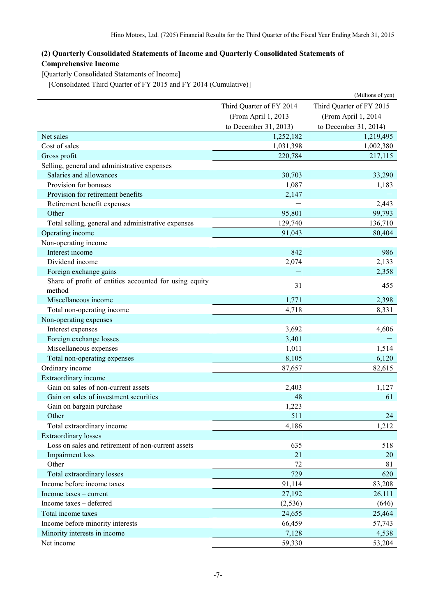# **(2) Quarterly Consolidated Statements of Income and Quarterly Consolidated Statements of Comprehensive Income**

[Quarterly Consolidated Statements of Income]

[Consolidated Third Quarter of FY 2015 and FY 2014 (Cumulative)]

|                                                                  |                                                      | (Millions of yen)     |  |
|------------------------------------------------------------------|------------------------------------------------------|-----------------------|--|
|                                                                  | Third Quarter of FY 2015<br>Third Quarter of FY 2014 |                       |  |
|                                                                  | (From April 1, 2013                                  | (From April 1, 2014   |  |
|                                                                  | to December 31, 2013)                                | to December 31, 2014) |  |
| Net sales                                                        | 1,252,182                                            | 1,219,495             |  |
| Cost of sales                                                    | 1,031,398                                            | 1,002,380             |  |
| Gross profit                                                     | 220,784                                              | 217,115               |  |
| Selling, general and administrative expenses                     |                                                      |                       |  |
| Salaries and allowances                                          | 30,703                                               | 33,290                |  |
| Provision for bonuses                                            | 1,087                                                | 1,183                 |  |
| Provision for retirement benefits                                | 2,147                                                |                       |  |
| Retirement benefit expenses                                      |                                                      | 2,443                 |  |
| Other                                                            | 95,801                                               | 99,793                |  |
| Total selling, general and administrative expenses               | 129,740                                              | 136,710               |  |
| Operating income                                                 | 91,043                                               | 80,404                |  |
| Non-operating income                                             |                                                      |                       |  |
| Interest income                                                  | 842                                                  | 986                   |  |
| Dividend income                                                  | 2,074                                                | 2,133                 |  |
| Foreign exchange gains                                           |                                                      | 2,358                 |  |
| Share of profit of entities accounted for using equity<br>method | 31                                                   | 455                   |  |
| Miscellaneous income                                             | 1,771                                                | 2,398                 |  |
| Total non-operating income                                       | 4,718                                                | 8,331                 |  |
| Non-operating expenses                                           |                                                      |                       |  |
| Interest expenses                                                | 3,692                                                | 4,606                 |  |
| Foreign exchange losses                                          | 3,401                                                |                       |  |
| Miscellaneous expenses                                           | 1,011                                                | 1,514                 |  |
| Total non-operating expenses                                     | 8,105                                                | 6,120                 |  |
| Ordinary income                                                  | 87,657                                               | 82,615                |  |
| Extraordinary income                                             |                                                      |                       |  |
| Gain on sales of non-current assets                              | 2,403                                                | 1,127                 |  |
| Gain on sales of investment securities                           | 48                                                   | 61                    |  |
| Gain on bargain purchase                                         | 1,223                                                |                       |  |
| Other                                                            | 511                                                  | 24                    |  |
| Total extraordinary income                                       | 4,186                                                | 1,212                 |  |
| <b>Extraordinary losses</b>                                      |                                                      |                       |  |
| Loss on sales and retirement of non-current assets               | 635                                                  | 518                   |  |
| Impairment loss                                                  | 21                                                   | 20                    |  |
| Other                                                            | 72                                                   | 81                    |  |
| Total extraordinary losses                                       | 729                                                  | 620                   |  |
| Income before income taxes                                       | 91,114                                               | 83,208                |  |
| Income taxes - current                                           | 27,192                                               | 26,111                |  |
| Income taxes - deferred                                          | (2, 536)                                             | (646)                 |  |
| Total income taxes                                               | 24,655                                               | 25,464                |  |
| Income before minority interests                                 | 66,459                                               | 57,743                |  |
| Minority interests in income                                     | 7,128                                                | 4,538                 |  |
| Net income                                                       | 59,330                                               | 53,204                |  |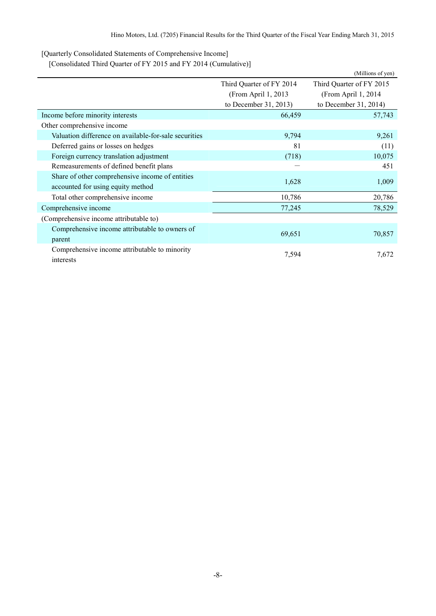[Quarterly Consolidated Statements of Comprehensive Income]

[Consolidated Third Quarter of FY 2015 and FY 2014 (Cumulative)]

|                                                       |                          | (Millions of yen)        |
|-------------------------------------------------------|--------------------------|--------------------------|
|                                                       | Third Quarter of FY 2014 | Third Quarter of FY 2015 |
|                                                       | (From April 1, 2013)     | (From April 1, 2014)     |
|                                                       | to December 31, 2013)    | to December 31, 2014)    |
| Income before minority interests                      | 66,459                   | 57,743                   |
| Other comprehensive income                            |                          |                          |
| Valuation difference on available-for-sale securities | 9,794                    | 9,261                    |
| Deferred gains or losses on hedges                    | 81                       | (11)                     |
| Foreign currency translation adjustment               | (718)                    | 10,075                   |
| Remeasurements of defined benefit plans               |                          | 451                      |
| Share of other comprehensive income of entities       | 1,628                    | 1,009                    |
| accounted for using equity method                     |                          |                          |
| Total other comprehensive income                      | 10,786                   | 20,786                   |
| Comprehensive income                                  | 77,245                   | 78,529                   |
| (Comprehensive income attributable to)                |                          |                          |
| Comprehensive income attributable to owners of        |                          |                          |
| parent                                                | 69,651                   | 70,857                   |
| Comprehensive income attributable to minority         |                          |                          |
| interests                                             | 7,594                    | 7,672                    |